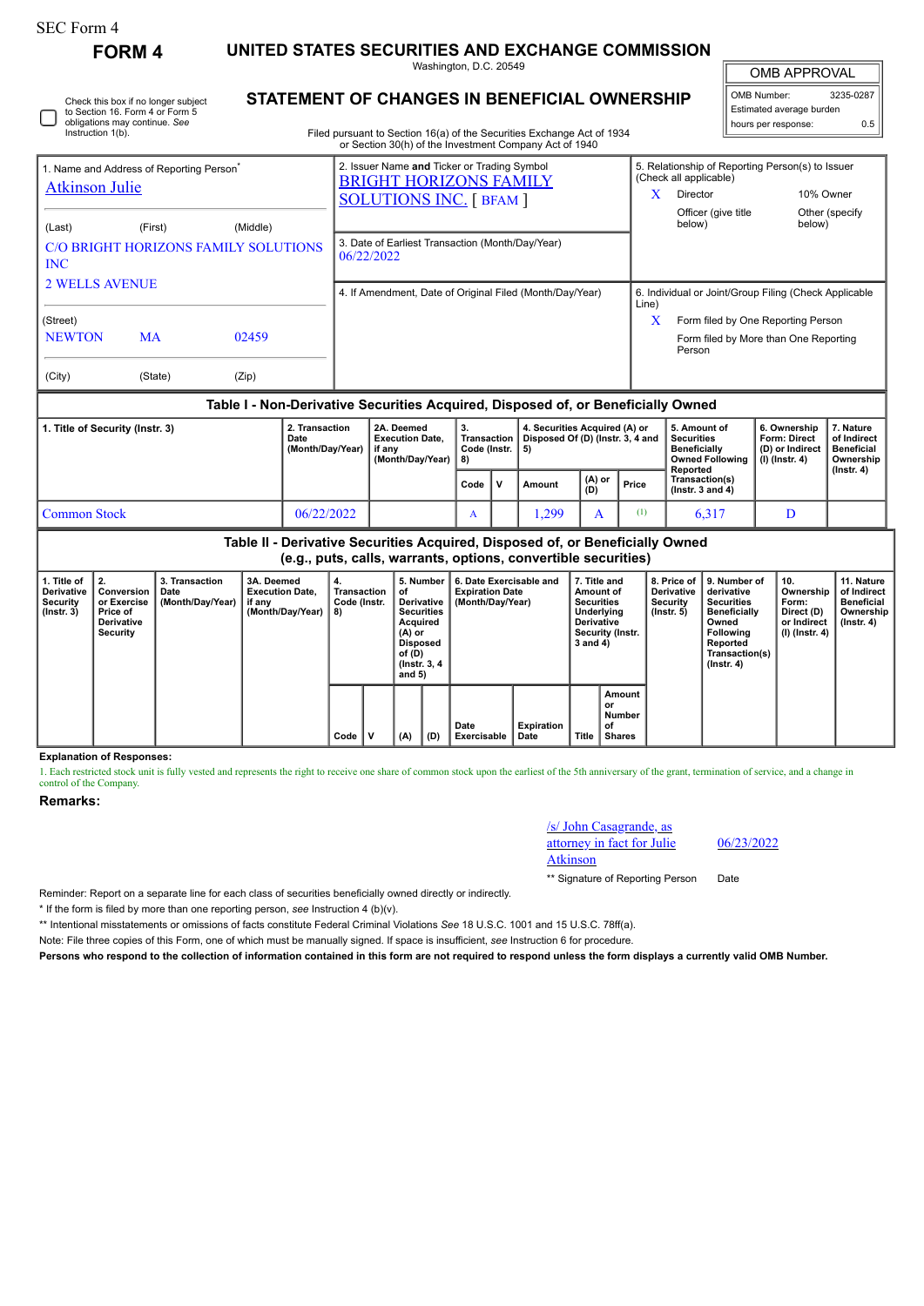|                                                                                                                              | <b>FORM 4</b> |                        |                                                                                                                                                                                  |                                                                                                                | UNITED STATES SECURITIES AND EXCHANGE COMMISSION                   |                                                |   |                                                                         |               |              |                                                                                       |                                                                                    |                                                            |  |
|------------------------------------------------------------------------------------------------------------------------------|---------------|------------------------|----------------------------------------------------------------------------------------------------------------------------------------------------------------------------------|----------------------------------------------------------------------------------------------------------------|--------------------------------------------------------------------|------------------------------------------------|---|-------------------------------------------------------------------------|---------------|--------------|---------------------------------------------------------------------------------------|------------------------------------------------------------------------------------|------------------------------------------------------------|--|
|                                                                                                                              |               | Washington, D.C. 20549 |                                                                                                                                                                                  |                                                                                                                |                                                                    |                                                |   |                                                                         |               |              | <b>OMB APPROVAL</b>                                                                   |                                                                                    |                                                            |  |
| Check this box if no longer subject<br>to Section 16. Form 4 or Form 5<br>obligations may continue. See<br>Instruction 1(b). |               |                        | STATEMENT OF CHANGES IN BENEFICIAL OWNERSHIP<br>Filed pursuant to Section 16(a) of the Securities Exchange Act of 1934<br>or Section 30(h) of the Investment Company Act of 1940 |                                                                                                                |                                                                    |                                                |   |                                                                         |               |              |                                                                                       | 3235-0287<br>OMB Number:<br>Estimated average burden<br>hours per response:<br>0.5 |                                                            |  |
| 1. Name and Address of Reporting Person <sup>®</sup><br><b>Atkinson Julie</b>                                                |               |                        |                                                                                                                                                                                  | 2. Issuer Name and Ticker or Trading Symbol<br><b>BRIGHT HORIZONS FAMILY</b><br><b>SOLUTIONS INC. [ BFAM ]</b> |                                                                    |                                                |   |                                                                         |               | $\mathbf{X}$ | (Check all applicable)<br>Director<br>Officer (give title<br>below)                   | 5. Relationship of Reporting Person(s) to Issuer<br>below)                         | 10% Owner<br>Other (specify                                |  |
| (Middle)<br>(First)<br>(Last)<br>C/O BRIGHT HORIZONS FAMILY SOLUTIONS<br><b>INC</b>                                          |               |                        |                                                                                                                                                                                  | 3. Date of Earliest Transaction (Month/Day/Year)<br>06/22/2022                                                 |                                                                    |                                                |   |                                                                         |               |              |                                                                                       |                                                                                    |                                                            |  |
| <b>2 WELLS AVENUE</b>                                                                                                        |               |                        |                                                                                                                                                                                  | 4. If Amendment, Date of Original Filed (Month/Day/Year)                                                       |                                                                    |                                                |   |                                                                         |               |              | 6. Individual or Joint/Group Filing (Check Applicable<br>Line)                        |                                                                                    |                                                            |  |
| (Street)<br><b>NEWTON</b><br><b>MA</b><br>02459                                                                              |               |                        |                                                                                                                                                                                  |                                                                                                                |                                                                    |                                                |   |                                                                         |               | $\mathbf x$  | Form filed by One Reporting Person<br>Form filed by More than One Reporting<br>Person |                                                                                    |                                                            |  |
| (City)                                                                                                                       | (State)       | (Zip)                  |                                                                                                                                                                                  |                                                                                                                |                                                                    |                                                |   |                                                                         |               |              |                                                                                       |                                                                                    |                                                            |  |
| Table I - Non-Derivative Securities Acquired, Disposed of, or Beneficially Owned                                             |               |                        |                                                                                                                                                                                  |                                                                                                                |                                                                    |                                                |   |                                                                         |               |              |                                                                                       |                                                                                    |                                                            |  |
| 1. Title of Security (Instr. 3)                                                                                              |               |                        | 2. Transaction<br>Date<br>(Month/Day/Year)                                                                                                                                       |                                                                                                                | 2A. Deemed<br><b>Execution Date,</b><br>if any<br>(Month/Day/Year) | 3.<br><b>Transaction</b><br>Code (Instr.<br>8) |   | 4. Securities Acquired (A) or<br>Disposed Of (D) (Instr. 3, 4 and<br>5) |               |              | 5. Amount of<br><b>Securities</b><br><b>Beneficially</b><br><b>Owned Following</b>    | 6. Ownership<br>Form: Direct<br>(D) or Indirect<br>$(I)$ (lnstr. 4)                | 7. Nature<br>of Indirect<br><b>Beneficial</b><br>Ownership |  |
|                                                                                                                              |               |                        |                                                                                                                                                                                  |                                                                                                                |                                                                    | Code                                           | v | Amount                                                                  | (A) or<br>(D) | Price        | Reported<br>Transaction(s)<br>( $lnstr. 3 and 4$ )                                    |                                                                                    | $($ lnstr. 4 $)$                                           |  |
| <b>Common Stock</b>                                                                                                          |               |                        | 06/22/2022                                                                                                                                                                       |                                                                                                                |                                                                    | A                                              |   | 1,299                                                                   | A             | (1)          | 6,317                                                                                 | D                                                                                  |                                                            |  |

**Table II - Derivative Securities Acquired, Disposed of, or Beneficially Owned (e.g., puts, calls, warrants, options, convertible securities)**

**6. Date Exercisable and Expiration Date (Month/Day/Year)**

**5. Number of** o<sub>l</sub><br>Derivative<br>Securities

**Securities Acquired (A) or Disposed of (D) (Instr. 3, 4 and 5)**

**Explanation of Responses:**

**2. Conversion or Exercise Price of Derivative Security**

**3. Transaction Date (Month/Day/Year)**

1. Each restricted stock unit is fully vested and represents the right to receive one share of common stock upon the earliest of the 5th anniversary of the grant, termination of service, and a change in control of the Company.

**Date Exercisable**

**Remarks:**

**1. Title of Derivative Security (Instr. 3)**

/s/ John Casagrande, as attorney in fact for Julie Atkinson

**Amount or Number of Shares**

**7. Title and Amount of Securities Underlying Derivative Security (Instr. 3 and 4)**

**Expiration Date Title**

**8. Price of Derivative Security (Instr. 5)**

**9. Number of derivative Securities Beneficially Owned Following Reported Transaction(s) (Instr. 4)**

**10. Ownership Form: Direct (D) or Indirect (I) (Instr. 4)**

**11. Nature of Indirect Beneficial Ownership (Instr. 4)**

06/23/2022

\*\* Signature of Reporting Person Date

Reminder: Report on a separate line for each class of securities beneficially owned directly or indirectly.

**3A. Deemed Execution Date, if any (Month/Day/Year)**

**4. Transaction Code (Instr. 8)**

**Code V (A) (D)**

\* If the form is filed by more than one reporting person, *see* Instruction 4 (b)(v).

\*\* Intentional misstatements or omissions of facts constitute Federal Criminal Violations *See* 18 U.S.C. 1001 and 15 U.S.C. 78ff(a).

Note: File three copies of this Form, one of which must be manually signed. If space is insufficient, *see* Instruction 6 for procedure.

**Persons who respond to the collection of information contained in this form are not required to respond unless the form displays a currently valid OMB Number.**